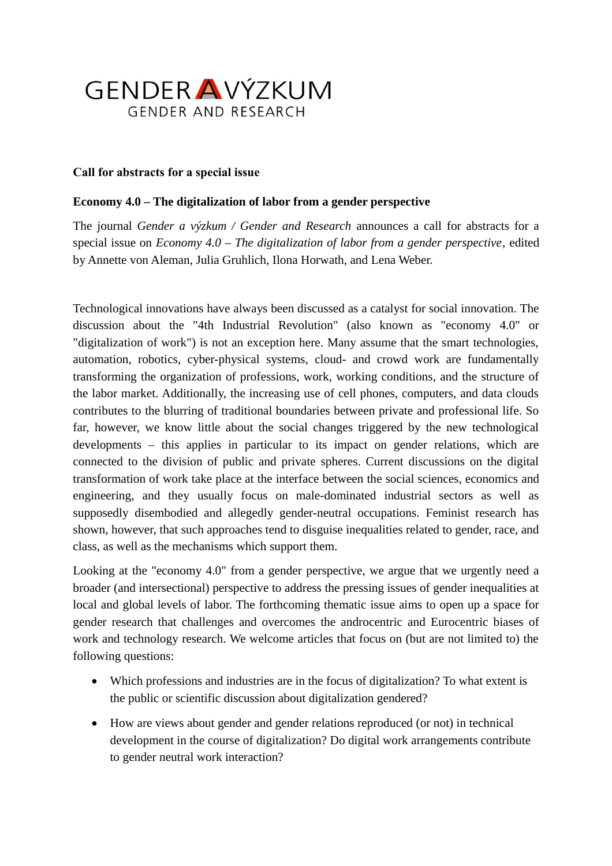

## **Call for abstracts for a special issue**

## **Economy 4.0 – The digitalization of labor from a gender perspective**

The journal *Gender a výzkum / Gender and Research* announces a call for abstracts for a special issue on *Economy 4.0 – The digitalization of labor from a gender perspective*, edited by Annette von Aleman, Julia Gruhlich, Ilona Horwath, and Lena Weber.

Technological innovations have always been discussed as a catalyst for social innovation. The discussion about the "4th Industrial Revolution" (also known as "economy 4.0" or "digitalization of work") is not an exception here. Many assume that the smart technologies, automation, robotics, cyber-physical systems, cloud- and crowd work are fundamentally transforming the organization of professions, work, working conditions, and the structure of the labor market. Additionally, the increasing use of cell phones, computers, and data clouds contributes to the blurring of traditional boundaries between private and professional life. So far, however, we know little about the social changes triggered by the new technological developments – this applies in particular to its impact on gender relations, which are connected to the division of public and private spheres. Current discussions on the digital transformation of work take place at the interface between the social sciences, economics and engineering, and they usually focus on male-dominated industrial sectors as well as supposedly disembodied and allegedly gender-neutral occupations. Feminist research has shown, however, that such approaches tend to disguise inequalities related to gender, race, and class, as well as the mechanisms which support them.

Looking at the "economy 4.0" from a gender perspective, we argue that we urgently need a broader (and intersectional) perspective to address the pressing issues of gender inequalities at local and global levels of labor. The forthcoming thematic issue aims to open up a space for gender research that challenges and overcomes the androcentric and Eurocentric biases of work and technology research. We welcome articles that focus on (but are not limited to) the following questions:

- Which professions and industries are in the focus of digitalization? To what extent is the public or scientific discussion about digitalization gendered?
- How are views about gender and gender relations reproduced (or not) in technical development in the course of digitalization? Do digital work arrangements contribute to gender neutral work interaction?